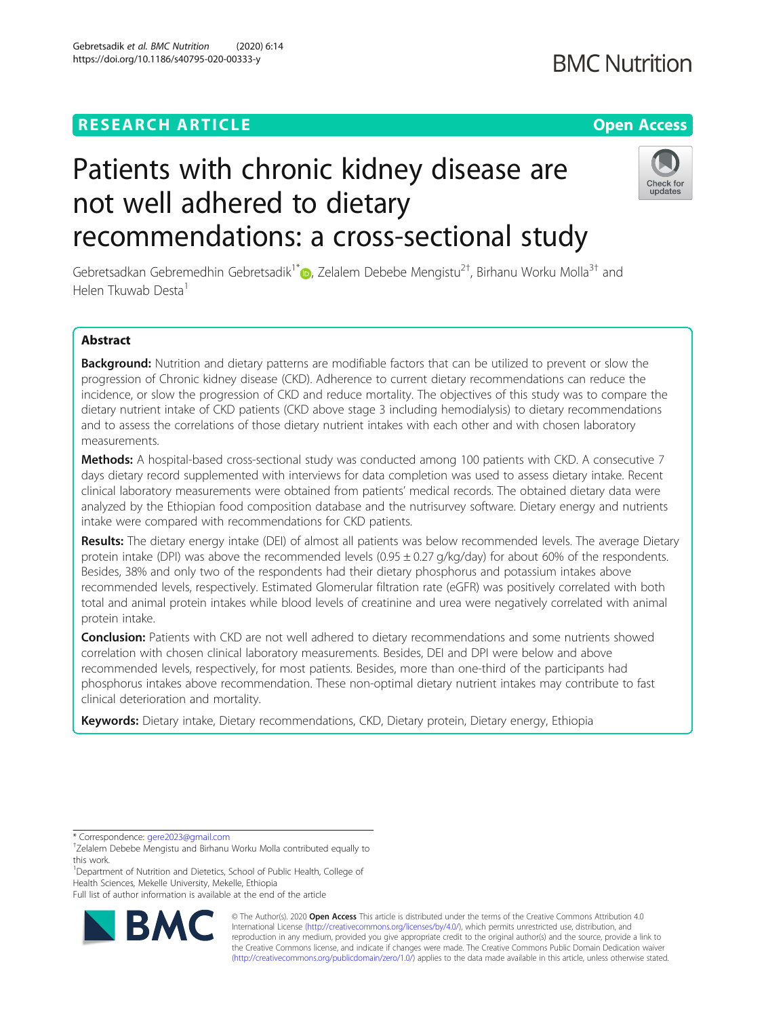https://doi.org/10.1186/s40795-020-00333-y

## Gebretsadik et al. BMC Nutrition (2020) 6:14

# Patients with chronic kidney disease are not well adhered to dietary



recommendations: a cross-sectional study

Gebretsadkan Gebremedhin Gebretsadik<sup>1[\\*](http://orcid.org/0000-0002-8437-1751)</sup>�, Zelalem Debebe Mengistu<sup>2†</sup>, Birhanu Worku Molla<sup>3†</sup> and Helen Tkuwab Desta<sup>1</sup>

### Abstract

Background: Nutrition and dietary patterns are modifiable factors that can be utilized to prevent or slow the progression of Chronic kidney disease (CKD). Adherence to current dietary recommendations can reduce the incidence, or slow the progression of CKD and reduce mortality. The objectives of this study was to compare the dietary nutrient intake of CKD patients (CKD above stage 3 including hemodialysis) to dietary recommendations and to assess the correlations of those dietary nutrient intakes with each other and with chosen laboratory measurements.

Methods: A hospital-based cross-sectional study was conducted among 100 patients with CKD. A consecutive 7 days dietary record supplemented with interviews for data completion was used to assess dietary intake. Recent clinical laboratory measurements were obtained from patients' medical records. The obtained dietary data were analyzed by the Ethiopian food composition database and the nutrisurvey software. Dietary energy and nutrients intake were compared with recommendations for CKD patients.

Results: The dietary energy intake (DEI) of almost all patients was below recommended levels. The average Dietary protein intake (DPI) was above the recommended levels (0.95  $\pm$  0.27 g/kg/day) for about 60% of the respondents. Besides, 38% and only two of the respondents had their dietary phosphorus and potassium intakes above recommended levels, respectively. Estimated Glomerular filtration rate (eGFR) was positively correlated with both total and animal protein intakes while blood levels of creatinine and urea were negatively correlated with animal protein intake.

**Conclusion:** Patients with CKD are not well adhered to dietary recommendations and some nutrients showed correlation with chosen clinical laboratory measurements. Besides, DEI and DPI were below and above recommended levels, respectively, for most patients. Besides, more than one-third of the participants had phosphorus intakes above recommendation. These non-optimal dietary nutrient intakes may contribute to fast clinical deterioration and mortality.

Keywords: Dietary intake, Dietary recommendations, CKD, Dietary protein, Dietary energy, Ethiopia

\* Correspondence: [gere2023@gmail.com](mailto:gere2023@gmail.com) †

<sup>1</sup>Department of Nutrition and Dietetics, School of Public Health, College of Health Sciences, Mekelle University, Mekelle, Ethiopia

Full list of author information is available at the end of the article



© The Author(s). 2020 **Open Access** This article is distributed under the terms of the Creative Commons Attribution 4.0 International License [\(http://creativecommons.org/licenses/by/4.0/](http://creativecommons.org/licenses/by/4.0/)), which permits unrestricted use, distribution, and reproduction in any medium, provided you give appropriate credit to the original author(s) and the source, provide a link to the Creative Commons license, and indicate if changes were made. The Creative Commons Public Domain Dedication waiver [\(http://creativecommons.org/publicdomain/zero/1.0/](http://creativecommons.org/publicdomain/zero/1.0/)) applies to the data made available in this article, unless otherwise stated.

Zelalem Debebe Mengistu and Birhanu Worku Molla contributed equally to this work.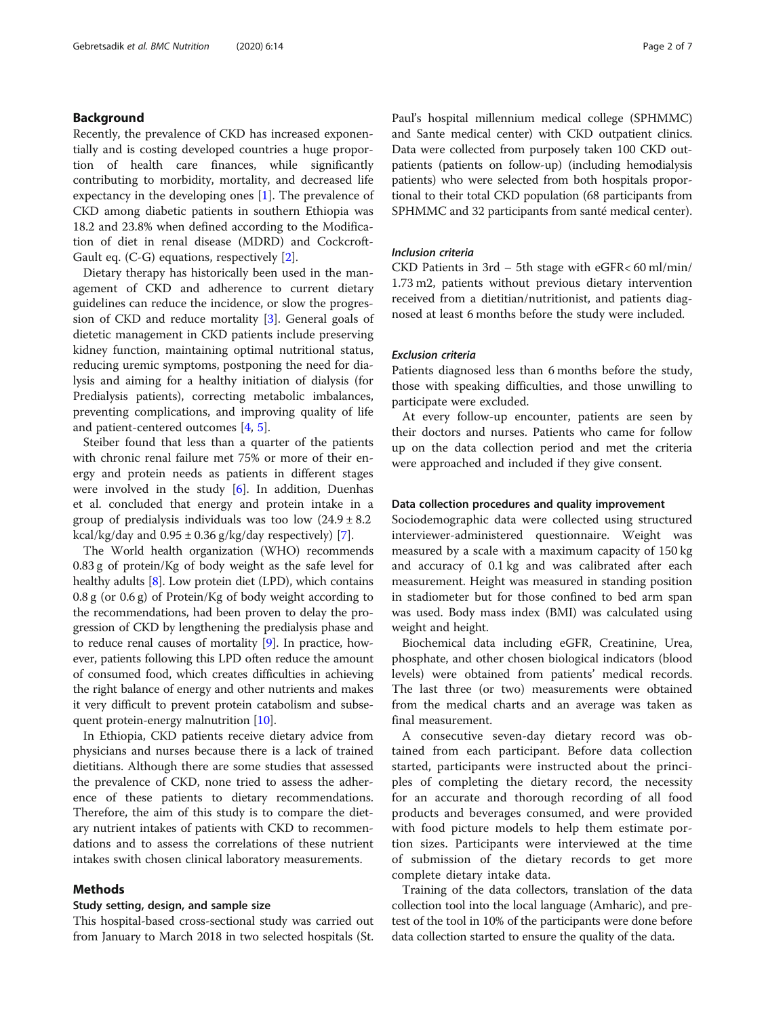#### Background

Recently, the prevalence of CKD has increased exponentially and is costing developed countries a huge proportion of health care finances, while significantly contributing to morbidity, mortality, and decreased life expectancy in the developing ones [[1\]](#page-6-0). The prevalence of CKD among diabetic patients in southern Ethiopia was 18.2 and 23.8% when defined according to the Modification of diet in renal disease (MDRD) and Cockcroft-Gault eq. (C-G) equations, respectively [[2\]](#page-6-0).

Dietary therapy has historically been used in the management of CKD and adherence to current dietary guidelines can reduce the incidence, or slow the progression of CKD and reduce mortality [\[3\]](#page-6-0). General goals of dietetic management in CKD patients include preserving kidney function, maintaining optimal nutritional status, reducing uremic symptoms, postponing the need for dialysis and aiming for a healthy initiation of dialysis (for Predialysis patients), correcting metabolic imbalances, preventing complications, and improving quality of life and patient-centered outcomes [\[4](#page-6-0), [5](#page-6-0)].

Steiber found that less than a quarter of the patients with chronic renal failure met 75% or more of their energy and protein needs as patients in different stages were involved in the study [[6\]](#page-6-0). In addition, Duenhas et al. concluded that energy and protein intake in a group of predialysis individuals was too low  $(24.9 \pm 8.2)$ kcal/kg/day and  $0.95 \pm 0.36$  g/kg/day respectively) [\[7](#page-6-0)].

The World health organization (WHO) recommends 0.83 g of protein/Kg of body weight as the safe level for healthy adults [\[8](#page-6-0)]. Low protein diet (LPD), which contains 0.8 g (or 0.6 g) of Protein/Kg of body weight according to the recommendations, had been proven to delay the progression of CKD by lengthening the predialysis phase and to reduce renal causes of mortality [[9\]](#page-6-0). In practice, however, patients following this LPD often reduce the amount of consumed food, which creates difficulties in achieving the right balance of energy and other nutrients and makes it very difficult to prevent protein catabolism and subse-quent protein-energy malnutrition [\[10\]](#page-6-0).

In Ethiopia, CKD patients receive dietary advice from physicians and nurses because there is a lack of trained dietitians. Although there are some studies that assessed the prevalence of CKD, none tried to assess the adherence of these patients to dietary recommendations. Therefore, the aim of this study is to compare the dietary nutrient intakes of patients with CKD to recommendations and to assess the correlations of these nutrient intakes swith chosen clinical laboratory measurements.

#### Methods

#### Study setting, design, and sample size

This hospital-based cross-sectional study was carried out from January to March 2018 in two selected hospitals (St. Paul's hospital millennium medical college (SPHMMC) and Sante medical center) with CKD outpatient clinics. Data were collected from purposely taken 100 CKD outpatients (patients on follow-up) (including hemodialysis patients) who were selected from both hospitals proportional to their total CKD population (68 participants from SPHMMC and 32 participants from santé medical center).

#### Inclusion criteria

CKD Patients in 3rd – 5th stage with eGFR< 60 ml/min/ 1.73 m2, patients without previous dietary intervention received from a dietitian/nutritionist, and patients diagnosed at least 6 months before the study were included.

#### Exclusion criteria

Patients diagnosed less than 6 months before the study, those with speaking difficulties, and those unwilling to participate were excluded.

At every follow-up encounter, patients are seen by their doctors and nurses. Patients who came for follow up on the data collection period and met the criteria were approached and included if they give consent.

#### Data collection procedures and quality improvement

Sociodemographic data were collected using structured interviewer-administered questionnaire. Weight was measured by a scale with a maximum capacity of 150 kg and accuracy of 0.1 kg and was calibrated after each measurement. Height was measured in standing position in stadiometer but for those confined to bed arm span was used. Body mass index (BMI) was calculated using weight and height.

Biochemical data including eGFR, Creatinine, Urea, phosphate, and other chosen biological indicators (blood levels) were obtained from patients' medical records. The last three (or two) measurements were obtained from the medical charts and an average was taken as final measurement.

A consecutive seven-day dietary record was obtained from each participant. Before data collection started, participants were instructed about the principles of completing the dietary record, the necessity for an accurate and thorough recording of all food products and beverages consumed, and were provided with food picture models to help them estimate portion sizes. Participants were interviewed at the time of submission of the dietary records to get more complete dietary intake data.

Training of the data collectors, translation of the data collection tool into the local language (Amharic), and pretest of the tool in 10% of the participants were done before data collection started to ensure the quality of the data.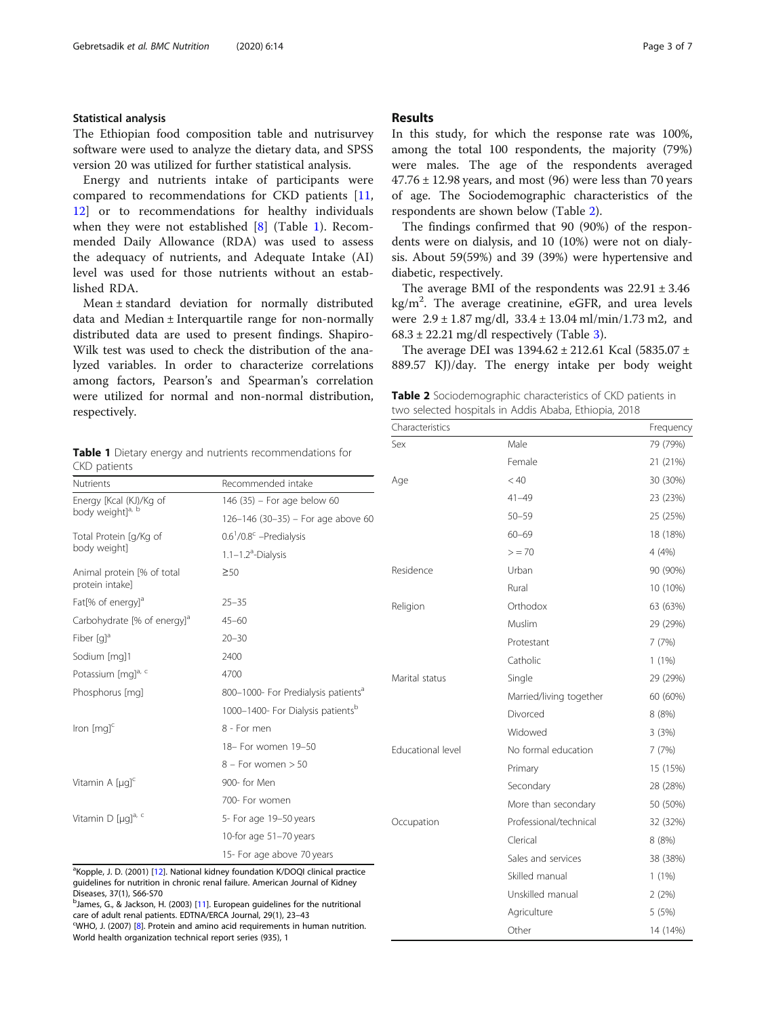#### Statistical analysis

The Ethiopian food composition table and nutrisurvey software were used to analyze the dietary data, and SPSS version 20 was utilized for further statistical analysis.

Energy and nutrients intake of participants were compared to recommendations for CKD patients [\[11](#page-6-0), [12\]](#page-6-0) or to recommendations for healthy individuals when they were not established [\[8](#page-6-0)] (Table 1). Recommended Daily Allowance (RDA) was used to assess the adequacy of nutrients, and Adequate Intake (AI) level was used for those nutrients without an established RDA.

Mean ± standard deviation for normally distributed data and Median ± Interquartile range for non-normally distributed data are used to present findings. Shapiro-Wilk test was used to check the distribution of the analyzed variables. In order to characterize correlations among factors, Pearson's and Spearman's correlation were utilized for normal and non-normal distribution, respectively.

#### Results

In this study, for which the response rate was 100%, among the total 100 respondents, the majority (79%) were males. The age of the respondents averaged  $47.76 \pm 12.98$  years, and most (96) were less than 70 years of age. The Sociodemographic characteristics of the respondents are shown below (Table 2).

The findings confirmed that 90 (90%) of the respondents were on dialysis, and 10 (10%) were not on dialysis. About 59(59%) and 39 (39%) were hypertensive and diabetic, respectively.

The average BMI of the respondents was  $22.91 \pm 3.46$ kg/m<sup>2</sup>. The average creatinine, eGFR, and urea levels were  $2.9 \pm 1.87$  mg/dl,  $33.4 \pm 13.04$  ml/min/1.73 m2, and  $68.3 \pm 22.21$  mg/dl respectively (Table [3\)](#page-3-0).

The average DEI was 1394.62 ± 212.61 Kcal (5835.07 ± 889.57 KJ)/day. The energy intake per body weight

|  | Table 2 Sociodemographic characteristics of CKD patients in |  |  |  |  |
|--|-------------------------------------------------------------|--|--|--|--|
|  | two selected hospitals in Addis Ababa, Ethiopia, 2018       |  |  |  |  |

Characteristics **Frequency** 

Agriculture 5 (5%) Other 14 (14%)

body weight]<sup>a, b</sup> 126–146 (30–35) – For age above 60 Total Protein [g/Kg of body weight]  $0.6<sup>1</sup>$ /0.8<sup>c</sup> -Predialysis  $1.1 - 1.2<sup>a</sup>$ -Dialysis Animal protein [% of total protein intake] ≥50 Fat $[%$  of energy]<sup>a</sup> 25–35 Carbohydrate [% of energy]<sup>a</sup> 45-60 Fiber  $[g]$ <sup>a</sup> 20–30 Sodium [mg]1 2400 Potassium [mg]<sup>a, c</sup> 4700 Phosphorus [mg] 800-1000- For Predialysis patients<sup>a</sup> 1000-1400- For Dialysis patients<sup>b</sup> Iron  $\text{[mg]}^c$  8 - For men 18– For women 19–50 8 – For women > 50 Vitamin A  $[\mu g]^c$  900- for Men 700- For women Vitamin D [ $\mu$ g]<sup>a, c</sup> 6 5- For age 19–50 years 10-for age 51–70 years 15- For age above 70 years <sup>a</sup>Kopple, J. D. (2001) [[12\]](#page-6-0). National kidney foundation K/DOQI clinical practice guidelines for nutrition in chronic renal failure. American Journal of Kidney Diseases, 37(1), S66-S70 Sales and services 38 (38%) Skilled manual 1 (1%) Unskilled manual 2 (2%)

<sup>b</sup>James, G., & Jackson, H. (2003) [[11\]](#page-6-0). European guidelines for the nutritional

care of adult renal patients. EDTNA/ERCA Journal, 29(1), 23-43

WHO, J. (2007) [\[8\]](#page-6-0). Protein and amino acid requirements in human nutrition. World health organization technical report series (935), 1

|                                                      | Table 1 Dietary energy and nutrients recommendations for | Sex               | Male                    | 79 (79%)<br>21 (21%) |  |
|------------------------------------------------------|----------------------------------------------------------|-------------------|-------------------------|----------------------|--|
| CKD patients                                         |                                                          |                   | Female                  |                      |  |
| <b>Nutrients</b>                                     | Recommended intake                                       | Age               | < 40                    | 30 (30%)             |  |
| Energy [Kcal (KJ)/Kg of                              | 146 (35) - For age below 60                              |                   | $41 - 49$               | 23 (23%)             |  |
| body weight] <sup>a, t</sup>                         | 126-146 (30-35) - For age above 60                       |                   | $50 - 59$               | 25 (25%)             |  |
| Total Protein [g/Kg of                               | $0.6^{\text{1}}$ /0.8 <sup>c</sup> - Predialysis         |                   | $60 - 69$               | 18 (18%)             |  |
| body weight]                                         | $1.1 - 1.2a$ -Dialysis                                   |                   | > 70                    | 4(4%)                |  |
| Animal protein [% of total                           | $\geq 50$                                                | Residence         | Urban                   | 90 (90%)             |  |
| protein intake]                                      |                                                          |                   | Rural                   | 10 (10%)             |  |
| Fat[% of energy] <sup>a</sup>                        | $25 - 35$                                                | Religion          | Orthodox                | 63 (63%)             |  |
| Carbohydrate [% of energy] <sup>a</sup><br>$45 - 60$ |                                                          |                   | Muslim                  | 29 (29%)             |  |
| Fiber $[q]$ <sup>a</sup>                             | $20 - 30$                                                |                   | Protestant              | 7(7%)                |  |
| Sodium [mq]1                                         | 2400                                                     |                   | Catholic                | $1(1\%)$             |  |
| Potassium [mq] <sup>a, c</sup>                       | 4700                                                     | Marital status    | Single                  | 29 (29%)             |  |
| Phosphorus [mq]                                      | 800-1000- For Predialysis patients <sup>a</sup>          |                   | Married/living together | 60 (60%)             |  |
|                                                      | 1000-1400- For Dialysis patientsb                        |                   | Divorced                | 8 (8%)               |  |
| Iron $[mq]^{c}$                                      | 8 - For men                                              |                   | Widowed                 | 3(3%)                |  |
|                                                      | 18- For women 19-50                                      | Educational level | No formal education     | 7(7%)                |  |
|                                                      | $8 -$ For women $> 50$                                   |                   | Primary                 | 15 (15%)             |  |
| Vitamin A $[\mu q]^{c}$                              | 900- for Men                                             |                   | Secondary               | 28 (28%)             |  |
|                                                      | 700- For women                                           |                   | More than secondary     | 50 (50%)             |  |
| Vitamin D [µq] <sup>a, c</sup>                       | 5- For age 19-50 years                                   | Occupation        | Professional/technical  | 32 (32%)             |  |
|                                                      | 10-for age 51-70 years                                   |                   | Clerical                | 8(8%)                |  |
|                                                      |                                                          |                   |                         |                      |  |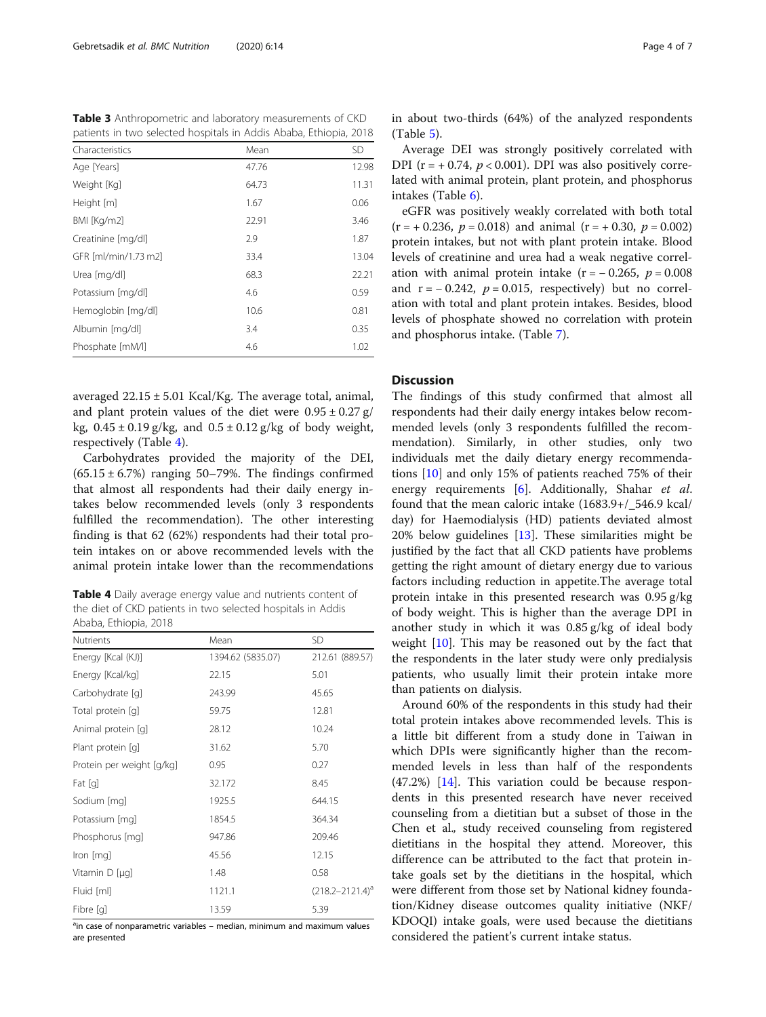<span id="page-3-0"></span>Table 3 Anthropometric and laboratory measurements of CKD patients in two selected hospitals in Addis Ababa, Ethiopia, 2018

| Characteristics      | Mean  | <b>SD</b> |
|----------------------|-------|-----------|
| Age [Years]          | 47.76 | 12.98     |
| Weight [Kg]          | 64.73 | 11.31     |
| Height [m]           | 1.67  | 0.06      |
| BMI [Kg/m2]          | 22.91 | 3.46      |
| Creatinine [mg/dl]   | 2.9   | 1.87      |
| GFR [ml/min/1.73 m2] | 33.4  | 13.04     |
| Urea [mg/dl]         | 68.3  | 22.21     |
| Potassium [mg/dl]    | 4.6   | 0.59      |
| Hemoglobin [mg/dl]   | 10.6  | 0.81      |
| Albumin [mg/dl]      | 3.4   | 0.35      |
| Phosphate [mM/l]     | 4.6   | 1.02      |

averaged  $22.15 \pm 5.01$  Kcal/Kg. The average total, animal, and plant protein values of the diet were  $0.95 \pm 0.27$  g/ kg,  $0.45 \pm 0.19$  g/kg, and  $0.5 \pm 0.12$  g/kg of body weight, respectively (Table 4).

Carbohydrates provided the majority of the DEI,  $(65.15 \pm 6.7\%)$  ranging 50–79%. The findings confirmed that almost all respondents had their daily energy intakes below recommended levels (only 3 respondents fulfilled the recommendation). The other interesting finding is that 62 (62%) respondents had their total protein intakes on or above recommended levels with the animal protein intake lower than the recommendations

Table 4 Daily average energy value and nutrients content of the diet of CKD patients in two selected hospitals in Addis Ababa, Ethiopia, 2018

| <b>Nutrients</b>          | Mean              | SD                   |
|---------------------------|-------------------|----------------------|
| Energy [Kcal (KJ)]        | 1394.62 (5835.07) | 212.61 (889.57)      |
| Energy [Kcal/kg]          | 22.15             | 5.01                 |
| Carbohydrate [q]          | 243.99            | 45.65                |
| Total protein [q]         | 59.75             | 12.81                |
| Animal protein [q]        | 28.12             | 10.24                |
| Plant protein [q]         | 31.62             | 5.70                 |
| Protein per weight [g/kg] | 0.95              | 0.27                 |
| [q]                       | 32.172            | 8.45                 |
| Sodium [mg]               | 1925.5            | 644.15               |
| Potassium [mq]            | 1854.5            | 364.34               |
| Phosphorus [mq]           | 947.86            | 209.46               |
| Iron [mq]                 | 45.56             | 12.15                |
| Vitamin D [µg]            | 1.48              | 0.58                 |
| Fluid [ml]                | 1121.1            | $(218.2 - 2121.4)^a$ |
| Fibre [g]                 | 13.59             | 5.39                 |

<sup>a</sup>in case of nonparametric variables – median, minimum and maximum values are presented

in about two-thirds (64%) of the analyzed respondents (Table [5\)](#page-4-0).

Average DEI was strongly positively correlated with DPI ( $r = +0.74$ ,  $p < 0.001$ ). DPI was also positively correlated with animal protein, plant protein, and phosphorus intakes (Table [6](#page-4-0)).

eGFR was positively weakly correlated with both total  $(r = +0.236, p = 0.018)$  and animal  $(r = +0.30, p = 0.002)$ protein intakes, but not with plant protein intake. Blood levels of creatinine and urea had a weak negative correlation with animal protein intake ( $r = -0.265$ ,  $p = 0.008$ and  $r = -0.242$ ,  $p = 0.015$ , respectively) but no correlation with total and plant protein intakes. Besides, blood levels of phosphate showed no correlation with protein and phosphorus intake. (Table [7](#page-5-0)).

#### **Discussion**

The findings of this study confirmed that almost all respondents had their daily energy intakes below recommended levels (only 3 respondents fulfilled the recommendation). Similarly, in other studies, only two individuals met the daily dietary energy recommendations [\[10](#page-6-0)] and only 15% of patients reached 75% of their energy requirements [[6\]](#page-6-0). Additionally, Shahar et al. found that the mean caloric intake (1683.9+/\_546.9 kcal/ day) for Haemodialysis (HD) patients deviated almost 20% below guidelines [\[13](#page-6-0)]. These similarities might be justified by the fact that all CKD patients have problems getting the right amount of dietary energy due to various factors including reduction in appetite.The average total protein intake in this presented research was 0.95 g/kg of body weight. This is higher than the average DPI in another study in which it was 0.85 g/kg of ideal body weight [[10\]](#page-6-0). This may be reasoned out by the fact that the respondents in the later study were only predialysis patients, who usually limit their protein intake more than patients on dialysis.

Around 60% of the respondents in this study had their total protein intakes above recommended levels. This is a little bit different from a study done in Taiwan in which DPIs were significantly higher than the recommended levels in less than half of the respondents (47.2%) [\[14\]](#page-6-0). This variation could be because respondents in this presented research have never received counseling from a dietitian but a subset of those in the Chen et al., study received counseling from registered dietitians in the hospital they attend. Moreover, this difference can be attributed to the fact that protein intake goals set by the dietitians in the hospital, which were different from those set by National kidney foundation/Kidney disease outcomes quality initiative (NKF/ KDOQI) intake goals, were used because the dietitians considered the patient's current intake status.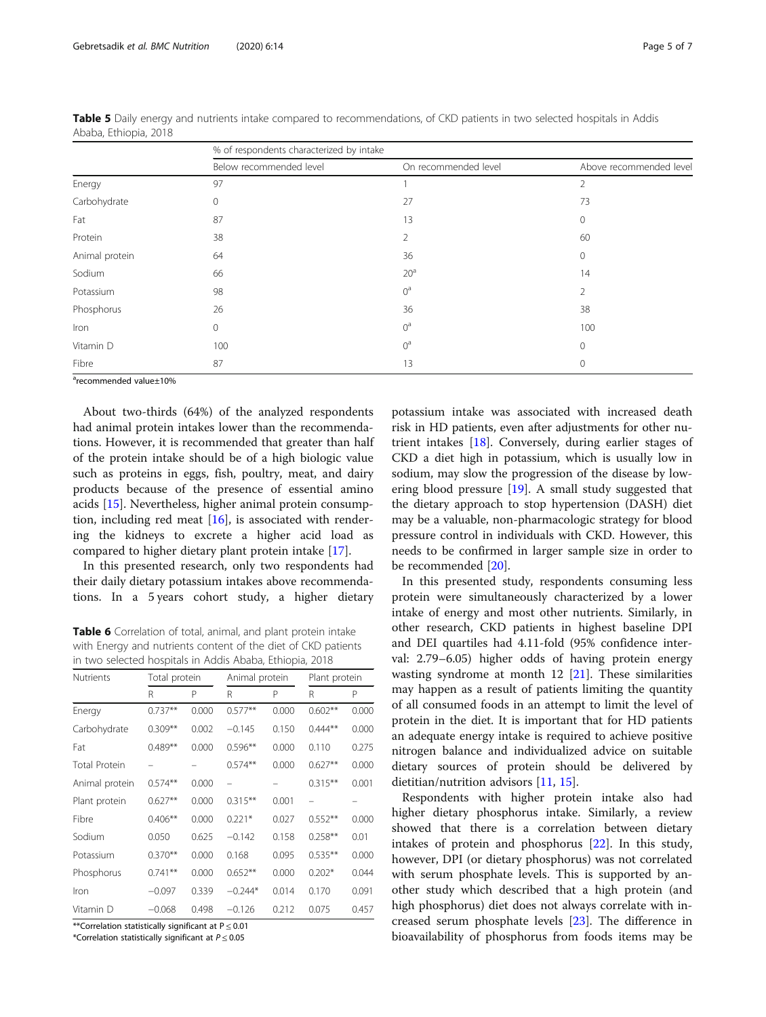|                | % of respondents characterized by intake |                      |                         |  |  |  |
|----------------|------------------------------------------|----------------------|-------------------------|--|--|--|
|                | Below recommended level                  | On recommended level | Above recommended level |  |  |  |
| Energy         | 97                                       |                      | $\overline{2}$          |  |  |  |
| Carbohydrate   | 0                                        | 27                   | 73                      |  |  |  |
| Fat            | 87                                       | 13                   | 0                       |  |  |  |
| Protein        | 38                                       | $\overline{2}$       | 60                      |  |  |  |
| Animal protein | 64                                       | 36                   | 0                       |  |  |  |
| Sodium         | 66                                       | 20 <sup>a</sup>      | 14                      |  |  |  |
| Potassium      | 98                                       | $0^a$                | $\overline{2}$          |  |  |  |
| Phosphorus     | 26                                       | 36                   | 38                      |  |  |  |
| Iron           | 0                                        | $0^a$                | 100                     |  |  |  |
| Vitamin D      | 100                                      | $0^a$                | 0                       |  |  |  |
| Fibre          | 87                                       | 13                   | 0                       |  |  |  |

<span id="page-4-0"></span>Table 5 Daily energy and nutrients intake compared to recommendations, of CKD patients in two selected hospitals in Addis Ababa, Ethiopia, 2018

a recommended value±10%

About two-thirds (64%) of the analyzed respondents had animal protein intakes lower than the recommendations. However, it is recommended that greater than half of the protein intake should be of a high biologic value such as proteins in eggs, fish, poultry, meat, and dairy products because of the presence of essential amino acids [\[15\]](#page-6-0). Nevertheless, higher animal protein consumption, including red meat [[16\]](#page-6-0), is associated with rendering the kidneys to excrete a higher acid load as compared to higher dietary plant protein intake [\[17](#page-6-0)].

In this presented research, only two respondents had their daily dietary potassium intakes above recommendations. In a 5 years cohort study, a higher dietary

Table 6 Correlation of total, animal, and plant protein intake with Energy and nutrients content of the diet of CKD patients in two selected hospitals in Addis Ababa, Ethiopia, 2018

| <b>Nutrients</b>     | Total protein |       | Animal protein |       | Plant protein |       |  |
|----------------------|---------------|-------|----------------|-------|---------------|-------|--|
|                      | R             | Ρ     | R              | P     | R             | P     |  |
| Energy               | $0.737**$     | 0.000 | $0.577**$      | 0.000 | $0.602**$     | 0.000 |  |
| Carbohydrate         | $0.309**$     | 0.002 | $-0.145$       | 0.150 | $0.444**$     | 0.000 |  |
| Fat                  | $0.489**$     | 0.000 | $0.596**$      | 0.000 | 0.110         | 0.275 |  |
| <b>Total Protein</b> |               |       | $0.574**$      | 0.000 | $0.627**$     | 0.000 |  |
| Animal protein       | $0.574***$    | 0.000 |                |       | $0.315***$    | 0.001 |  |
| Plant protein        | $0.627**$     | 0.000 | $0.315**$      | 0.001 |               |       |  |
| Fibre                | $0.406**$     | 0.000 | $0.221*$       | 0.027 | $0.552**$     | 0.000 |  |
| Sodium               | 0.050         | 0.625 | $-0.142$       | 0.158 | $0.258**$     | 0.01  |  |
| Potassium            | $0.370**$     | 0.000 | 0.168          | 0.095 | $0.535**$     | 0.000 |  |
| Phosphorus           | $0.741***$    | 0.000 | $0.652**$      | 0.000 | $0.202*$      | 0.044 |  |
| Iron                 | $-0.097$      | 0.339 | $-0.244*$      | 0.014 | 0.170         | 0.091 |  |
| Vitamin D            | $-0.068$      | 0.498 | $-0.126$       | 0.212 | 0.075         | 0.457 |  |

\*\*Correlation statistically significant at  $P \le 0.01$ 

\*Correlation statistically significant at  $P \le 0.05$ 

potassium intake was associated with increased death risk in HD patients, even after adjustments for other nutrient intakes [\[18](#page-6-0)]. Conversely, during earlier stages of CKD a diet high in potassium, which is usually low in sodium, may slow the progression of the disease by lowering blood pressure [[19\]](#page-6-0). A small study suggested that the dietary approach to stop hypertension (DASH) diet may be a valuable, non-pharmacologic strategy for blood pressure control in individuals with CKD. However, this needs to be confirmed in larger sample size in order to be recommended [[20\]](#page-6-0).

In this presented study, respondents consuming less protein were simultaneously characterized by a lower intake of energy and most other nutrients. Similarly, in other research, CKD patients in highest baseline DPI and DEI quartiles had 4.11-fold (95% confidence interval: 2.79–6.05) higher odds of having protein energy wasting syndrome at month  $12$  [[21\]](#page-6-0). These similarities may happen as a result of patients limiting the quantity of all consumed foods in an attempt to limit the level of protein in the diet. It is important that for HD patients an adequate energy intake is required to achieve positive nitrogen balance and individualized advice on suitable dietary sources of protein should be delivered by dietitian/nutrition advisors [\[11](#page-6-0), [15\]](#page-6-0).

Respondents with higher protein intake also had higher dietary phosphorus intake. Similarly, a review showed that there is a correlation between dietary intakes of protein and phosphorus [\[22](#page-6-0)]. In this study, however, DPI (or dietary phosphorus) was not correlated with serum phosphate levels. This is supported by another study which described that a high protein (and high phosphorus) diet does not always correlate with increased serum phosphate levels [[23](#page-6-0)]. The difference in bioavailability of phosphorus from foods items may be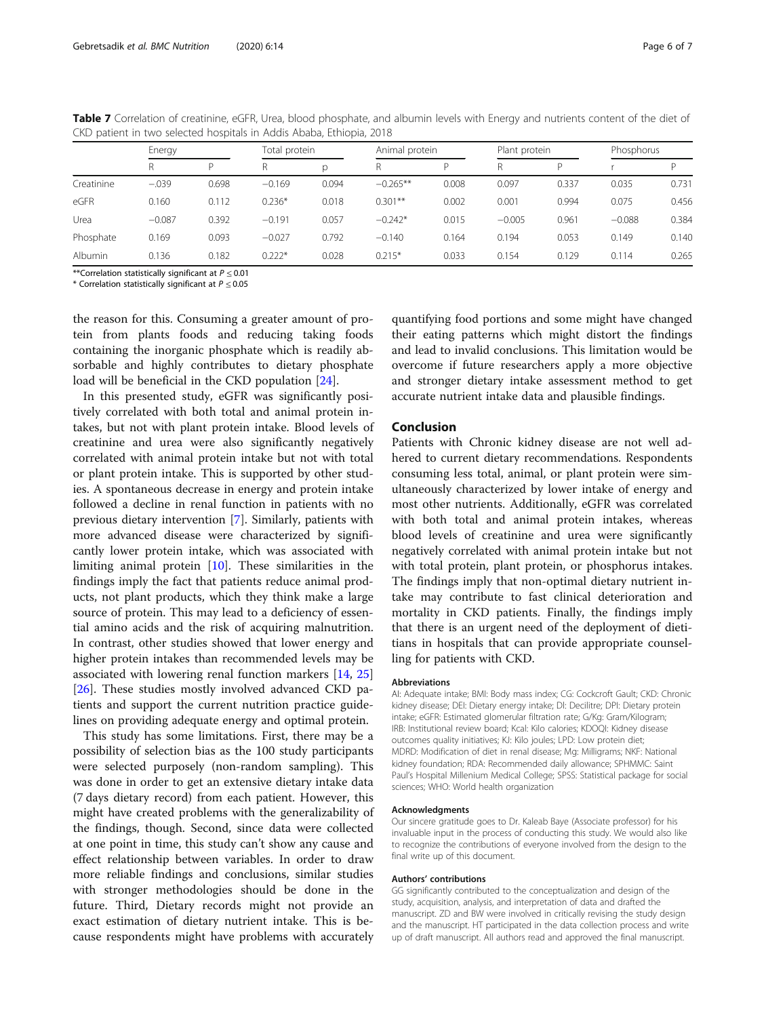|            | Energy   |       | Total protein |       | Animal protein |       | Plant protein |       | Phosphorus |       |
|------------|----------|-------|---------------|-------|----------------|-------|---------------|-------|------------|-------|
|            |          | D     | R             | p     |                |       | R             | D     |            | D     |
| Creatinine | $-.039$  | 0.698 | $-0.169$      | 0.094 | $-0.265**$     | 0.008 | 0.097         | 0.337 | 0.035      | 0.731 |
| eGFR       | 0.160    | 0.112 | $0.236*$      | 0.018 | $0.301***$     | 0.002 | 0.001         | 0.994 | 0.075      | 0.456 |
| Urea       | $-0.087$ | 0.392 | $-0.191$      | 0.057 | $-0.242*$      | 0.015 | $-0.005$      | 0.961 | $-0.088$   | 0.384 |
| Phosphate  | 0.169    | 0.093 | $-0.027$      | 0.792 | $-0.140$       | 0.164 | 0.194         | 0.053 | 0.149      | 0.140 |
| Albumin    | 0.136    | 0.182 | $0.222*$      | 0.028 | $0.215*$       | 0.033 | 0.154         | 0.129 | 0.114      | 0.265 |

<span id="page-5-0"></span>Table 7 Correlation of creatinine, eGFR, Urea, blood phosphate, and albumin levels with Energy and nutrients content of the diet of CKD patient in two selected hospitals in Addis Ababa, Ethiopia, 2018

\*\*Correlation statistically significant at  $P < 0.01$ 

\* Correlation statistically significant at  $P \le 0.05$ 

the reason for this. Consuming a greater amount of protein from plants foods and reducing taking foods containing the inorganic phosphate which is readily absorbable and highly contributes to dietary phosphate load will be beneficial in the CKD population [[24](#page-6-0)].

In this presented study, eGFR was significantly positively correlated with both total and animal protein intakes, but not with plant protein intake. Blood levels of creatinine and urea were also significantly negatively correlated with animal protein intake but not with total or plant protein intake. This is supported by other studies. A spontaneous decrease in energy and protein intake followed a decline in renal function in patients with no previous dietary intervention [\[7](#page-6-0)]. Similarly, patients with more advanced disease were characterized by significantly lower protein intake, which was associated with limiting animal protein [[10](#page-6-0)]. These similarities in the findings imply the fact that patients reduce animal products, not plant products, which they think make a large source of protein. This may lead to a deficiency of essential amino acids and the risk of acquiring malnutrition. In contrast, other studies showed that lower energy and higher protein intakes than recommended levels may be associated with lowering renal function markers [\[14](#page-6-0), [25](#page-6-0)] [[26\]](#page-6-0). These studies mostly involved advanced CKD patients and support the current nutrition practice guidelines on providing adequate energy and optimal protein.

This study has some limitations. First, there may be a possibility of selection bias as the 100 study participants were selected purposely (non-random sampling). This was done in order to get an extensive dietary intake data (7 days dietary record) from each patient. However, this might have created problems with the generalizability of the findings, though. Second, since data were collected at one point in time, this study can't show any cause and effect relationship between variables. In order to draw more reliable findings and conclusions, similar studies with stronger methodologies should be done in the future. Third, Dietary records might not provide an exact estimation of dietary nutrient intake. This is because respondents might have problems with accurately

quantifying food portions and some might have changed their eating patterns which might distort the findings and lead to invalid conclusions. This limitation would be overcome if future researchers apply a more objective and stronger dietary intake assessment method to get accurate nutrient intake data and plausible findings.

#### Conclusion

Patients with Chronic kidney disease are not well adhered to current dietary recommendations. Respondents consuming less total, animal, or plant protein were simultaneously characterized by lower intake of energy and most other nutrients. Additionally, eGFR was correlated with both total and animal protein intakes, whereas blood levels of creatinine and urea were significantly negatively correlated with animal protein intake but not with total protein, plant protein, or phosphorus intakes. The findings imply that non-optimal dietary nutrient intake may contribute to fast clinical deterioration and mortality in CKD patients. Finally, the findings imply that there is an urgent need of the deployment of dietitians in hospitals that can provide appropriate counselling for patients with CKD.

#### Abbreviations

AI: Adequate intake; BMI: Body mass index; CG: Cockcroft Gault; CKD: Chronic kidney disease; DEI: Dietary energy intake; Dl: Decilitre; DPI: Dietary protein intake; eGFR: Estimated glomerular filtration rate; G/Kg: Gram/Kilogram; IRB: Institutional review board; Kcal: Kilo calories; KDOQI: Kidney disease outcomes quality initiatives; KJ: Kilo joules; LPD: Low protein diet; MDRD: Modification of diet in renal disease; Mg: Milligrams; NKF: National kidney foundation; RDA: Recommended daily allowance; SPHMMC: Saint Paul's Hospital Millenium Medical College; SPSS: Statistical package for social sciences; WHO: World health organization

#### Acknowledgments

Our sincere gratitude goes to Dr. Kaleab Baye (Associate professor) for his invaluable input in the process of conducting this study. We would also like to recognize the contributions of everyone involved from the design to the final write up of this document.

#### Authors' contributions

GG significantly contributed to the conceptualization and design of the study, acquisition, analysis, and interpretation of data and drafted the manuscript. ZD and BW were involved in critically revising the study design and the manuscript. HT participated in the data collection process and write up of draft manuscript. All authors read and approved the final manuscript.